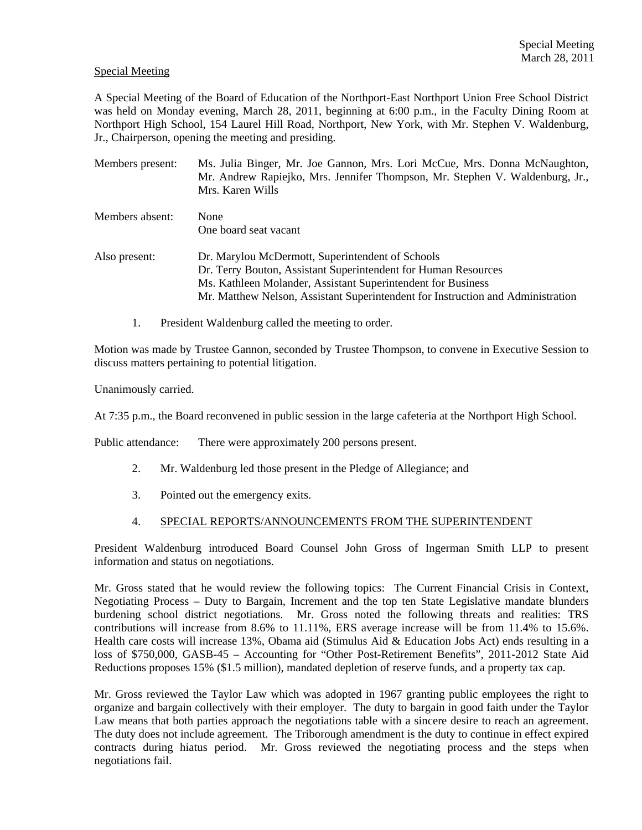## Special Meeting

A Special Meeting of the Board of Education of the Northport-East Northport Union Free School District was held on Monday evening, March 28, 2011, beginning at 6:00 p.m., in the Faculty Dining Room at Northport High School, 154 Laurel Hill Road, Northport, New York, with Mr. Stephen V. Waldenburg, Jr., Chairperson, opening the meeting and presiding.

| Members present: | Ms. Julia Binger, Mr. Joe Gannon, Mrs. Lori McCue, Mrs. Donna McNaughton,<br>Mr. Andrew Rapiejko, Mrs. Jennifer Thompson, Mr. Stephen V. Waldenburg, Jr.,<br>Mrs. Karen Wills                                                                                         |
|------------------|-----------------------------------------------------------------------------------------------------------------------------------------------------------------------------------------------------------------------------------------------------------------------|
| Members absent:  | None<br>One board seat vacant                                                                                                                                                                                                                                         |
| Also present:    | Dr. Marylou McDermott, Superintendent of Schools<br>Dr. Terry Bouton, Assistant Superintendent for Human Resources<br>Ms. Kathleen Molander, Assistant Superintendent for Business<br>Mr. Matthew Nelson, Assistant Superintendent for Instruction and Administration |

1. President Waldenburg called the meeting to order.

Motion was made by Trustee Gannon, seconded by Trustee Thompson, to convene in Executive Session to discuss matters pertaining to potential litigation.

Unanimously carried.

At 7:35 p.m., the Board reconvened in public session in the large cafeteria at the Northport High School.

Public attendance: There were approximately 200 persons present.

- 2. Mr. Waldenburg led those present in the Pledge of Allegiance; and
- 3. Pointed out the emergency exits.
- 4. SPECIAL REPORTS/ANNOUNCEMENTS FROM THE SUPERINTENDENT

President Waldenburg introduced Board Counsel John Gross of Ingerman Smith LLP to present information and status on negotiations.

Mr. Gross stated that he would review the following topics: The Current Financial Crisis in Context, Negotiating Process – Duty to Bargain, Increment and the top ten State Legislative mandate blunders burdening school district negotiations. Mr. Gross noted the following threats and realities: TRS contributions will increase from 8.6% to 11.11%, ERS average increase will be from 11.4% to 15.6%. Health care costs will increase 13%, Obama aid (Stimulus Aid & Education Jobs Act) ends resulting in a loss of \$750,000, GASB-45 – Accounting for "Other Post-Retirement Benefits", 2011-2012 State Aid Reductions proposes 15% (\$1.5 million), mandated depletion of reserve funds, and a property tax cap.

Mr. Gross reviewed the Taylor Law which was adopted in 1967 granting public employees the right to organize and bargain collectively with their employer. The duty to bargain in good faith under the Taylor Law means that both parties approach the negotiations table with a sincere desire to reach an agreement. The duty does not include agreement. The Triborough amendment is the duty to continue in effect expired contracts during hiatus period. Mr. Gross reviewed the negotiating process and the steps when negotiations fail.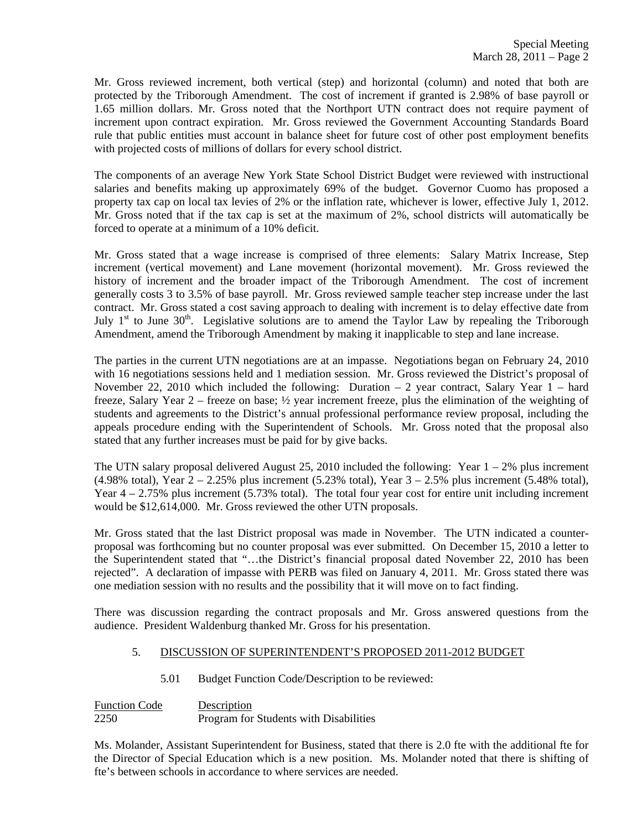Mr. Gross reviewed increment, both vertical (step) and horizontal (column) and noted that both are protected by the Triborough Amendment. The cost of increment if granted is 2.98% of base payroll or 1.65 million dollars. Mr. Gross noted that the Northport UTN contract does not require payment of increment upon contract expiration. Mr. Gross reviewed the Government Accounting Standards Board rule that public entities must account in balance sheet for future cost of other post employment benefits with projected costs of millions of dollars for every school district.

The components of an average New York State School District Budget were reviewed with instructional salaries and benefits making up approximately 69% of the budget. Governor Cuomo has proposed a property tax cap on local tax levies of 2% or the inflation rate, whichever is lower, effective July 1, 2012. Mr. Gross noted that if the tax cap is set at the maximum of 2%, school districts will automatically be forced to operate at a minimum of a 10% deficit.

Mr. Gross stated that a wage increase is comprised of three elements: Salary Matrix Increase, Step increment (vertical movement) and Lane movement (horizontal movement). Mr. Gross reviewed the history of increment and the broader impact of the Triborough Amendment. The cost of increment generally costs 3 to 3.5% of base payroll. Mr. Gross reviewed sample teacher step increase under the last contract. Mr. Gross stated a cost saving approach to dealing with increment is to delay effective date from July  $1<sup>st</sup>$  to June 30<sup>th</sup>. Legislative solutions are to amend the Taylor Law by repealing the Triborough Amendment, amend the Triborough Amendment by making it inapplicable to step and lane increase.

The parties in the current UTN negotiations are at an impasse. Negotiations began on February 24, 2010 with 16 negotiations sessions held and 1 mediation session. Mr. Gross reviewed the District's proposal of November 22, 2010 which included the following: Duration – 2 year contract, Salary Year 1 – hard freeze, Salary Year 2 – freeze on base; ½ year increment freeze, plus the elimination of the weighting of students and agreements to the District's annual professional performance review proposal, including the appeals procedure ending with the Superintendent of Schools. Mr. Gross noted that the proposal also stated that any further increases must be paid for by give backs.

The UTN salary proposal delivered August 25, 2010 included the following: Year  $1 - 2\%$  plus increment  $(4.98\% \text{ total})$ , Year  $2 - 2.25\%$  plus increment  $(5.23\% \text{ total})$ , Year  $3 - 2.5\%$  plus increment  $(5.48\% \text{ total})$ , Year  $4 - 2.75\%$  plus increment (5.73% total). The total four year cost for entire unit including increment would be \$12,614,000. Mr. Gross reviewed the other UTN proposals.

Mr. Gross stated that the last District proposal was made in November. The UTN indicated a counterproposal was forthcoming but no counter proposal was ever submitted. On December 15, 2010 a letter to the Superintendent stated that "…the District's financial proposal dated November 22, 2010 has been rejected". A declaration of impasse with PERB was filed on January 4, 2011. Mr. Gross stated there was one mediation session with no results and the possibility that it will move on to fact finding.

There was discussion regarding the contract proposals and Mr. Gross answered questions from the audience. President Waldenburg thanked Mr. Gross for his presentation.

## 5. DISCUSSION OF SUPERINTENDENT'S PROPOSED 2011-2012 BUDGET

5.01 Budget Function Code/Description to be reviewed:

Function Code Description 2250 Program for Students with Disabilities

Ms. Molander, Assistant Superintendent for Business, stated that there is 2.0 fte with the additional fte for the Director of Special Education which is a new position. Ms. Molander noted that there is shifting of fte's between schools in accordance to where services are needed.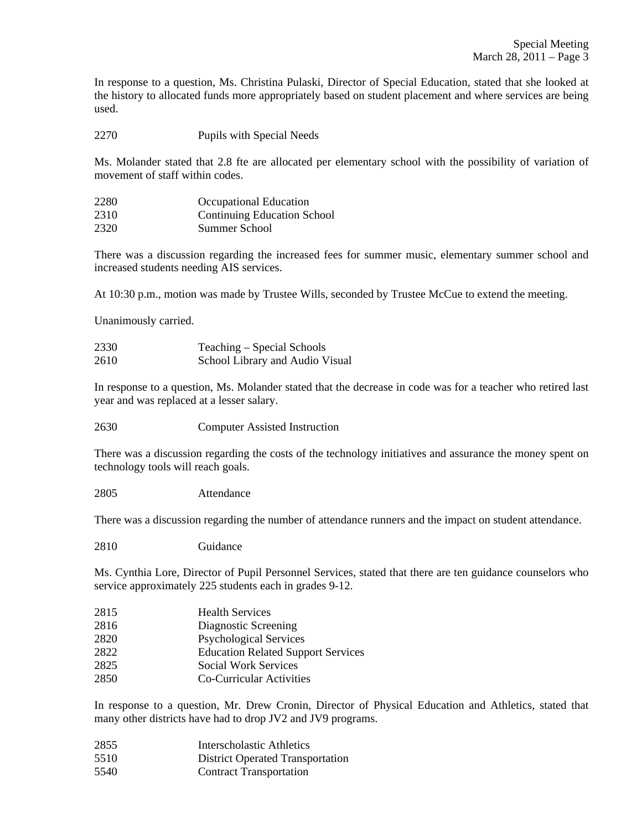In response to a question, Ms. Christina Pulaski, Director of Special Education, stated that she looked at the history to allocated funds more appropriately based on student placement and where services are being used.

2270 Pupils with Special Needs

Ms. Molander stated that 2.8 fte are allocated per elementary school with the possibility of variation of movement of staff within codes.

| 2280 | Occupational Education             |
|------|------------------------------------|
| 2310 | <b>Continuing Education School</b> |
| 2320 | Summer School                      |

There was a discussion regarding the increased fees for summer music, elementary summer school and increased students needing AIS services.

At 10:30 p.m., motion was made by Trustee Wills, seconded by Trustee McCue to extend the meeting.

Unanimously carried.

| 2330 | Teaching – Special Schools      |
|------|---------------------------------|
| 2610 | School Library and Audio Visual |

In response to a question, Ms. Molander stated that the decrease in code was for a teacher who retired last year and was replaced at a lesser salary.

2630 Computer Assisted Instruction

There was a discussion regarding the costs of the technology initiatives and assurance the money spent on technology tools will reach goals.

2805 Attendance

There was a discussion regarding the number of attendance runners and the impact on student attendance.

2810 Guidance

Ms. Cynthia Lore, Director of Pupil Personnel Services, stated that there are ten guidance counselors who service approximately 225 students each in grades 9-12.

| 2815 | <b>Health Services</b>                    |
|------|-------------------------------------------|
| 2816 | Diagnostic Screening                      |
| 2820 | <b>Psychological Services</b>             |
| 2822 | <b>Education Related Support Services</b> |
| 2825 | <b>Social Work Services</b>               |
| 2850 | Co-Curricular Activities                  |

In response to a question, Mr. Drew Cronin, Director of Physical Education and Athletics, stated that many other districts have had to drop JV2 and JV9 programs.

- 2855 Interscholastic Athletics
- 5510 District Operated Transportation
- 5540 Contract Transportation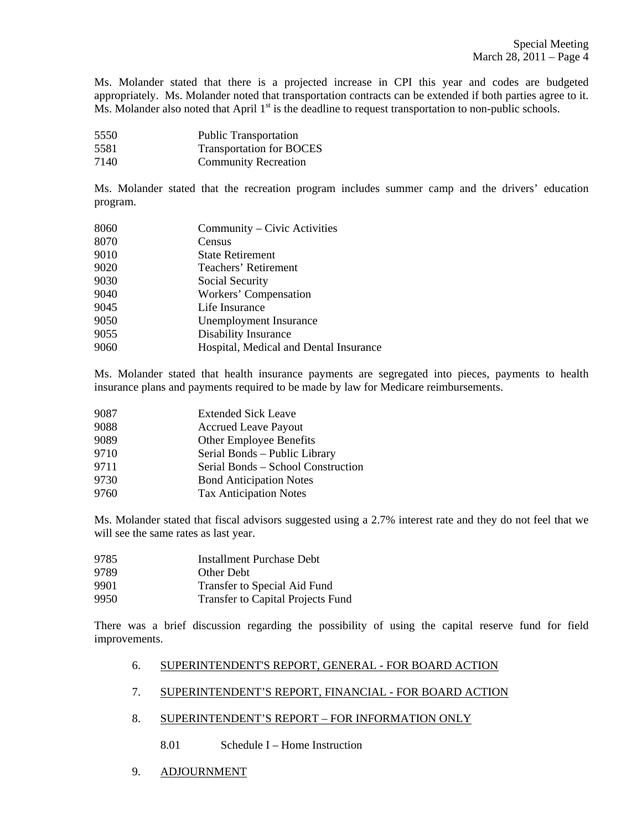Ms. Molander stated that there is a projected increase in CPI this year and codes are budgeted appropriately. Ms. Molander noted that transportation contracts can be extended if both parties agree to it. Ms. Molander also noted that April  $1<sup>st</sup>$  is the deadline to request transportation to non-public schools.

- 5550 Public Transportation 5581 Transportation for BOCES
- 7140 Community Recreation

Ms. Molander stated that the recreation program includes summer camp and the drivers' education program.

| 8060 | Community - Civic Activities           |
|------|----------------------------------------|
| 8070 | Census                                 |
| 9010 | <b>State Retirement</b>                |
| 9020 | Teachers' Retirement                   |
| 9030 | Social Security                        |
| 9040 | Workers' Compensation                  |
| 9045 | Life Insurance                         |
| 9050 | Unemployment Insurance                 |
| 9055 | Disability Insurance                   |
| 9060 | Hospital, Medical and Dental Insurance |

Ms. Molander stated that health insurance payments are segregated into pieces, payments to health insurance plans and payments required to be made by law for Medicare reimbursements.

| 9087 | <b>Extended Sick Leave</b>         |
|------|------------------------------------|
| 9088 | <b>Accrued Leave Payout</b>        |
| 9089 | Other Employee Benefits            |
| 9710 | Serial Bonds - Public Library      |
| 9711 | Serial Bonds - School Construction |
| 9730 | <b>Bond Anticipation Notes</b>     |
| 9760 | <b>Tax Anticipation Notes</b>      |

Ms. Molander stated that fiscal advisors suggested using a 2.7% interest rate and they do not feel that we will see the same rates as last year.

9785 Installment Purchase Debt 9789 Other Debt 9901 Transfer to Special Aid Fund 9950 Transfer to Capital Projects Fund

There was a brief discussion regarding the possibility of using the capital reserve fund for field improvements.

## 6. SUPERINTENDENT'S REPORT, GENERAL - FOR BOARD ACTION

- 7. SUPERINTENDENT'S REPORT, FINANCIAL FOR BOARD ACTION
- 8. SUPERINTENDENT'S REPORT FOR INFORMATION ONLY
	- 8.01 Schedule I Home Instruction
- 9. ADJOURNMENT